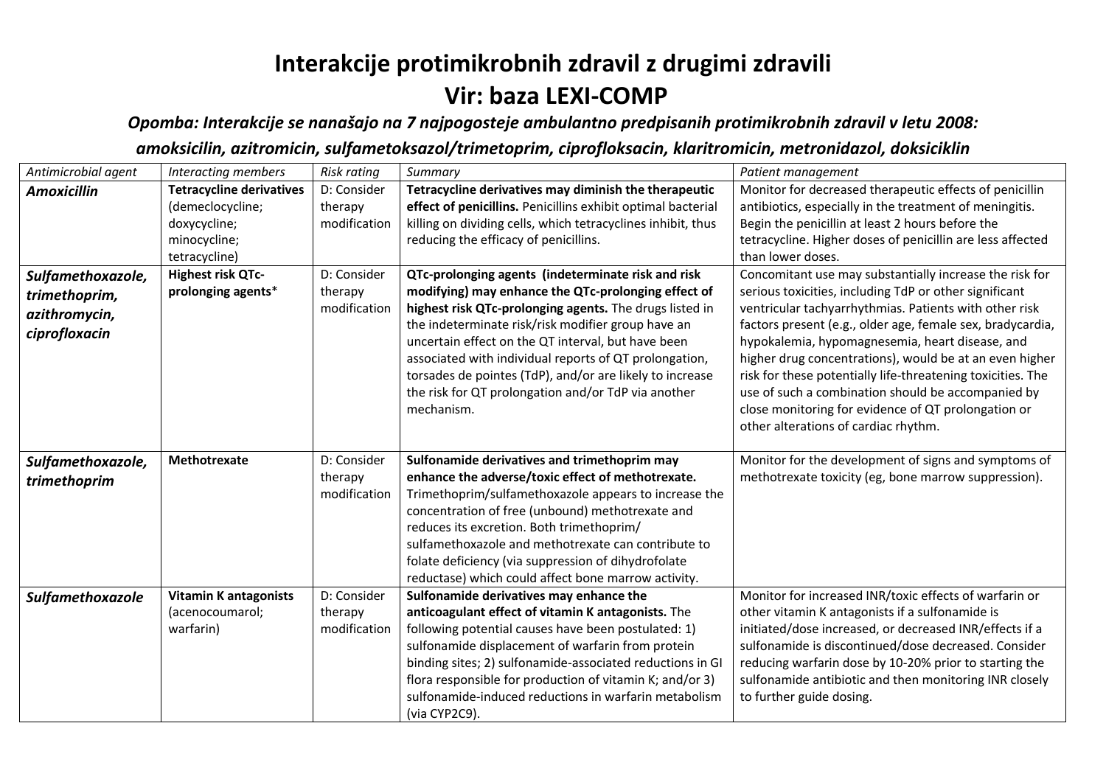## **Interakcije protimikrobnih zdravil z drugimi zdravili Vir: baza LEXI-COMP**

*Opomba: Interakcije se nanašajo na 7 najpogosteje ambulantno predpisanih protimikrobnih zdravil v letu 2008:* 

*amoksicilin, azitromicin, sulfametoksazol/trimetoprim, ciprofloksacin, klaritromicin, metronidazol, doksiciklin*

| Antimicrobial agent                                                  | Interacting members                                          | <b>Risk rating</b>                     | Summary                                                                                                                                                                                                                                                                                                                                                                                                                                                                     | Patient management                                                                                                                                                                                                                                                                                                                                                                                                                                                                                                                                                          |
|----------------------------------------------------------------------|--------------------------------------------------------------|----------------------------------------|-----------------------------------------------------------------------------------------------------------------------------------------------------------------------------------------------------------------------------------------------------------------------------------------------------------------------------------------------------------------------------------------------------------------------------------------------------------------------------|-----------------------------------------------------------------------------------------------------------------------------------------------------------------------------------------------------------------------------------------------------------------------------------------------------------------------------------------------------------------------------------------------------------------------------------------------------------------------------------------------------------------------------------------------------------------------------|
| <b>Amoxicillin</b>                                                   | <b>Tetracycline derivatives</b><br>(demeclocycline;          | D: Consider<br>therapy                 | Tetracycline derivatives may diminish the therapeutic<br>effect of penicillins. Penicillins exhibit optimal bacterial                                                                                                                                                                                                                                                                                                                                                       | Monitor for decreased therapeutic effects of penicillin<br>antibiotics, especially in the treatment of meningitis.                                                                                                                                                                                                                                                                                                                                                                                                                                                          |
|                                                                      | doxycycline;<br>minocycline;                                 | modification                           | killing on dividing cells, which tetracyclines inhibit, thus<br>reducing the efficacy of penicillins.                                                                                                                                                                                                                                                                                                                                                                       | Begin the penicillin at least 2 hours before the<br>tetracycline. Higher doses of penicillin are less affected                                                                                                                                                                                                                                                                                                                                                                                                                                                              |
|                                                                      | tetracycline)                                                |                                        |                                                                                                                                                                                                                                                                                                                                                                                                                                                                             | than lower doses.                                                                                                                                                                                                                                                                                                                                                                                                                                                                                                                                                           |
| Sulfamethoxazole,<br>trimethoprim,<br>azithromycin,<br>ciprofloxacin | Highest risk QTc-<br>prolonging agents*                      | D: Consider<br>therapy<br>modification | QTc-prolonging agents (indeterminate risk and risk<br>modifying) may enhance the QTc-prolonging effect of<br>highest risk QTc-prolonging agents. The drugs listed in<br>the indeterminate risk/risk modifier group have an<br>uncertain effect on the QT interval, but have been<br>associated with individual reports of QT prolongation,<br>torsades de pointes (TdP), and/or are likely to increase<br>the risk for QT prolongation and/or TdP via another<br>mechanism. | Concomitant use may substantially increase the risk for<br>serious toxicities, including TdP or other significant<br>ventricular tachyarrhythmias. Patients with other risk<br>factors present (e.g., older age, female sex, bradycardia,<br>hypokalemia, hypomagnesemia, heart disease, and<br>higher drug concentrations), would be at an even higher<br>risk for these potentially life-threatening toxicities. The<br>use of such a combination should be accompanied by<br>close monitoring for evidence of QT prolongation or<br>other alterations of cardiac rhythm. |
| Sulfamethoxazole,<br>trimethoprim                                    | Methotrexate                                                 | D: Consider<br>therapy<br>modification | Sulfonamide derivatives and trimethoprim may<br>enhance the adverse/toxic effect of methotrexate.<br>Trimethoprim/sulfamethoxazole appears to increase the<br>concentration of free (unbound) methotrexate and<br>reduces its excretion. Both trimethoprim/<br>sulfamethoxazole and methotrexate can contribute to<br>folate deficiency (via suppression of dihydrofolate<br>reductase) which could affect bone marrow activity.                                            | Monitor for the development of signs and symptoms of<br>methotrexate toxicity (eg, bone marrow suppression).                                                                                                                                                                                                                                                                                                                                                                                                                                                                |
| Sulfamethoxazole                                                     | <b>Vitamin K antagonists</b><br>(acenocoumarol;<br>warfarin) | D: Consider<br>therapy<br>modification | Sulfonamide derivatives may enhance the<br>anticoagulant effect of vitamin K antagonists. The<br>following potential causes have been postulated: 1)<br>sulfonamide displacement of warfarin from protein<br>binding sites; 2) sulfonamide-associated reductions in GI<br>flora responsible for production of vitamin K; and/or 3)<br>sulfonamide-induced reductions in warfarin metabolism<br>(via CYP2C9).                                                                | Monitor for increased INR/toxic effects of warfarin or<br>other vitamin K antagonists if a sulfonamide is<br>initiated/dose increased, or decreased INR/effects if a<br>sulfonamide is discontinued/dose decreased. Consider<br>reducing warfarin dose by 10-20% prior to starting the<br>sulfonamide antibiotic and then monitoring INR closely<br>to further guide dosing.                                                                                                                                                                                                |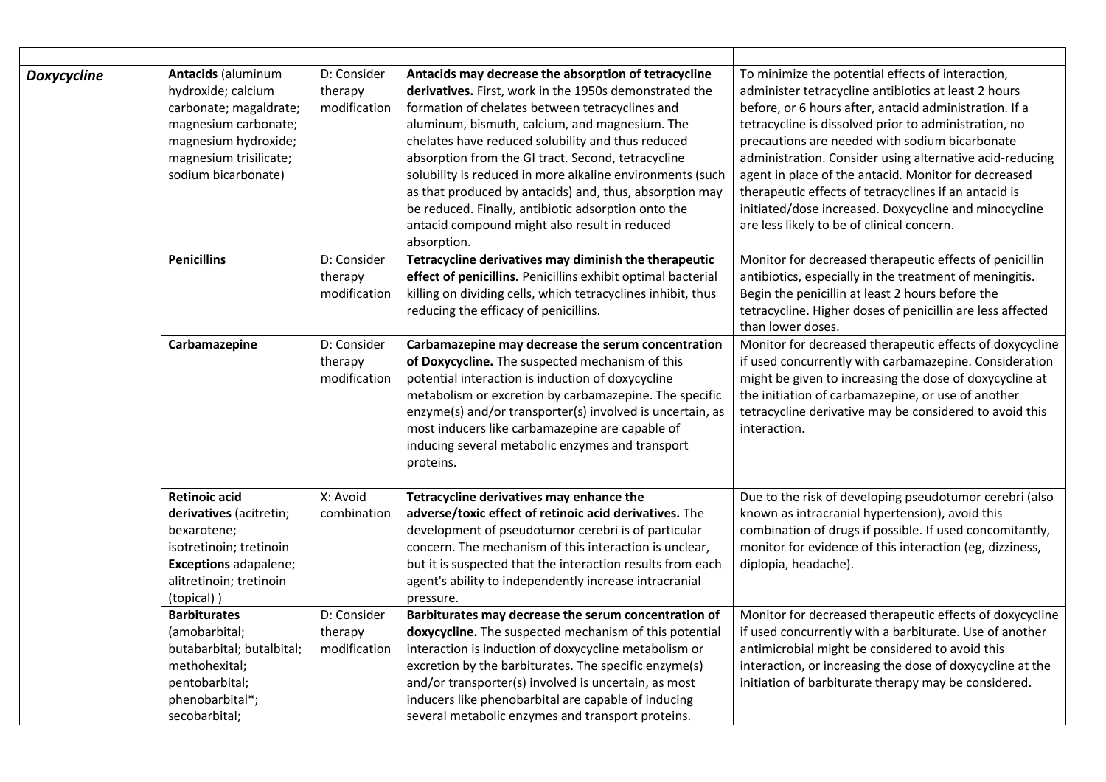| <b>Doxycycline</b> | <b>Antacids (aluminum</b><br>hydroxide; calcium<br>carbonate; magaldrate;<br>magnesium carbonate;<br>magnesium hydroxide;<br>magnesium trisilicate;<br>sodium bicarbonate) | D: Consider<br>therapy<br>modification | Antacids may decrease the absorption of tetracycline<br>derivatives. First, work in the 1950s demonstrated the<br>formation of chelates between tetracyclines and<br>aluminum, bismuth, calcium, and magnesium. The<br>chelates have reduced solubility and thus reduced<br>absorption from the GI tract. Second, tetracycline<br>solubility is reduced in more alkaline environments (such<br>as that produced by antacids) and, thus, absorption may<br>be reduced. Finally, antibiotic adsorption onto the<br>antacid compound might also result in reduced<br>absorption. | To minimize the potential effects of interaction,<br>administer tetracycline antibiotics at least 2 hours<br>before, or 6 hours after, antacid administration. If a<br>tetracycline is dissolved prior to administration, no<br>precautions are needed with sodium bicarbonate<br>administration. Consider using alternative acid-reducing<br>agent in place of the antacid. Monitor for decreased<br>therapeutic effects of tetracyclines if an antacid is<br>initiated/dose increased. Doxycycline and minocycline<br>are less likely to be of clinical concern. |
|--------------------|----------------------------------------------------------------------------------------------------------------------------------------------------------------------------|----------------------------------------|-------------------------------------------------------------------------------------------------------------------------------------------------------------------------------------------------------------------------------------------------------------------------------------------------------------------------------------------------------------------------------------------------------------------------------------------------------------------------------------------------------------------------------------------------------------------------------|--------------------------------------------------------------------------------------------------------------------------------------------------------------------------------------------------------------------------------------------------------------------------------------------------------------------------------------------------------------------------------------------------------------------------------------------------------------------------------------------------------------------------------------------------------------------|
|                    | <b>Penicillins</b>                                                                                                                                                         | D: Consider<br>therapy<br>modification | Tetracycline derivatives may diminish the therapeutic<br>effect of penicillins. Penicillins exhibit optimal bacterial<br>killing on dividing cells, which tetracyclines inhibit, thus<br>reducing the efficacy of penicillins.                                                                                                                                                                                                                                                                                                                                                | Monitor for decreased therapeutic effects of penicillin<br>antibiotics, especially in the treatment of meningitis.<br>Begin the penicillin at least 2 hours before the<br>tetracycline. Higher doses of penicillin are less affected<br>than lower doses.                                                                                                                                                                                                                                                                                                          |
|                    | Carbamazepine                                                                                                                                                              | D: Consider<br>therapy<br>modification | Carbamazepine may decrease the serum concentration<br>of Doxycycline. The suspected mechanism of this<br>potential interaction is induction of doxycycline<br>metabolism or excretion by carbamazepine. The specific<br>enzyme(s) and/or transporter(s) involved is uncertain, as<br>most inducers like carbamazepine are capable of<br>inducing several metabolic enzymes and transport<br>proteins.                                                                                                                                                                         | Monitor for decreased therapeutic effects of doxycycline<br>if used concurrently with carbamazepine. Consideration<br>might be given to increasing the dose of doxycycline at<br>the initiation of carbamazepine, or use of another<br>tetracycline derivative may be considered to avoid this<br>interaction.                                                                                                                                                                                                                                                     |
|                    | <b>Retinoic acid</b><br>derivatives (acitretin;<br>bexarotene;<br>isotretinoin; tretinoin<br>Exceptions adapalene;<br>alitretinoin; tretinoin<br>(topical))                | X: Avoid<br>combination                | Tetracycline derivatives may enhance the<br>adverse/toxic effect of retinoic acid derivatives. The<br>development of pseudotumor cerebri is of particular<br>concern. The mechanism of this interaction is unclear,<br>but it is suspected that the interaction results from each<br>agent's ability to independently increase intracranial<br>pressure.                                                                                                                                                                                                                      | Due to the risk of developing pseudotumor cerebri (also<br>known as intracranial hypertension), avoid this<br>combination of drugs if possible. If used concomitantly,<br>monitor for evidence of this interaction (eg, dizziness,<br>diplopia, headache).                                                                                                                                                                                                                                                                                                         |
|                    | <b>Barbiturates</b><br>(amobarbital;<br>butabarbital; butalbital;<br>methohexital;<br>pentobarbital;<br>phenobarbital*;<br>secobarbital;                                   | D: Consider<br>therapy<br>modification | Barbiturates may decrease the serum concentration of<br>doxycycline. The suspected mechanism of this potential<br>interaction is induction of doxycycline metabolism or<br>excretion by the barbiturates. The specific enzyme(s)<br>and/or transporter(s) involved is uncertain, as most<br>inducers like phenobarbital are capable of inducing<br>several metabolic enzymes and transport proteins.                                                                                                                                                                          | Monitor for decreased therapeutic effects of doxycycline<br>if used concurrently with a barbiturate. Use of another<br>antimicrobial might be considered to avoid this<br>interaction, or increasing the dose of doxycycline at the<br>initiation of barbiturate therapy may be considered.                                                                                                                                                                                                                                                                        |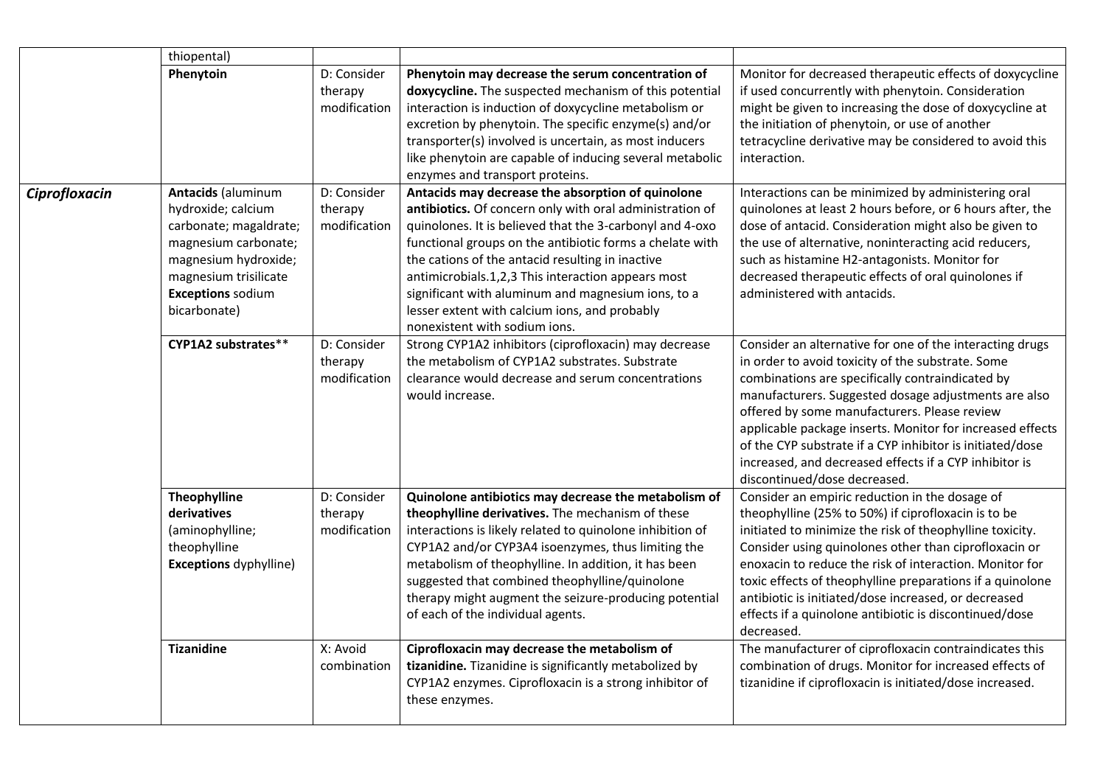|               | thiopental)                                                                                                                                                                                    |                                        |                                                                                                                                                                                                                                                                                                                                                                                                                                                                                         |                                                                                                                                                                                                                                                                                                                                                                                                                                                                                               |
|---------------|------------------------------------------------------------------------------------------------------------------------------------------------------------------------------------------------|----------------------------------------|-----------------------------------------------------------------------------------------------------------------------------------------------------------------------------------------------------------------------------------------------------------------------------------------------------------------------------------------------------------------------------------------------------------------------------------------------------------------------------------------|-----------------------------------------------------------------------------------------------------------------------------------------------------------------------------------------------------------------------------------------------------------------------------------------------------------------------------------------------------------------------------------------------------------------------------------------------------------------------------------------------|
|               | Phenytoin                                                                                                                                                                                      | D: Consider<br>therapy<br>modification | Phenytoin may decrease the serum concentration of<br>doxycycline. The suspected mechanism of this potential<br>interaction is induction of doxycycline metabolism or<br>excretion by phenytoin. The specific enzyme(s) and/or<br>transporter(s) involved is uncertain, as most inducers<br>like phenytoin are capable of inducing several metabolic<br>enzymes and transport proteins.                                                                                                  | Monitor for decreased therapeutic effects of doxycycline<br>if used concurrently with phenytoin. Consideration<br>might be given to increasing the dose of doxycycline at<br>the initiation of phenytoin, or use of another<br>tetracycline derivative may be considered to avoid this<br>interaction.                                                                                                                                                                                        |
| Ciprofloxacin | <b>Antacids (aluminum</b><br>hydroxide; calcium<br>carbonate; magaldrate;<br>magnesium carbonate;<br>magnesium hydroxide;<br>magnesium trisilicate<br><b>Exceptions sodium</b><br>bicarbonate) | D: Consider<br>therapy<br>modification | Antacids may decrease the absorption of quinolone<br>antibiotics. Of concern only with oral administration of<br>quinolones. It is believed that the 3-carbonyl and 4-oxo<br>functional groups on the antibiotic forms a chelate with<br>the cations of the antacid resulting in inactive<br>antimicrobials.1,2,3 This interaction appears most<br>significant with aluminum and magnesium ions, to a<br>lesser extent with calcium ions, and probably<br>nonexistent with sodium ions. | Interactions can be minimized by administering oral<br>quinolones at least 2 hours before, or 6 hours after, the<br>dose of antacid. Consideration might also be given to<br>the use of alternative, noninteracting acid reducers,<br>such as histamine H2-antagonists. Monitor for<br>decreased therapeutic effects of oral quinolones if<br>administered with antacids.                                                                                                                     |
|               | CYP1A2 substrates**                                                                                                                                                                            | D: Consider<br>therapy<br>modification | Strong CYP1A2 inhibitors (ciprofloxacin) may decrease<br>the metabolism of CYP1A2 substrates. Substrate<br>clearance would decrease and serum concentrations<br>would increase.                                                                                                                                                                                                                                                                                                         | Consider an alternative for one of the interacting drugs<br>in order to avoid toxicity of the substrate. Some<br>combinations are specifically contraindicated by<br>manufacturers. Suggested dosage adjustments are also<br>offered by some manufacturers. Please review<br>applicable package inserts. Monitor for increased effects<br>of the CYP substrate if a CYP inhibitor is initiated/dose<br>increased, and decreased effects if a CYP inhibitor is<br>discontinued/dose decreased. |
|               | Theophylline<br>derivatives<br>(aminophylline;<br>theophylline<br><b>Exceptions dyphylline)</b>                                                                                                | D: Consider<br>therapy<br>modification | Quinolone antibiotics may decrease the metabolism of<br>theophylline derivatives. The mechanism of these<br>interactions is likely related to quinolone inhibition of<br>CYP1A2 and/or CYP3A4 isoenzymes, thus limiting the<br>metabolism of theophylline. In addition, it has been<br>suggested that combined theophylline/quinolone<br>therapy might augment the seizure-producing potential<br>of each of the individual agents.                                                     | Consider an empiric reduction in the dosage of<br>theophylline (25% to 50%) if ciprofloxacin is to be<br>initiated to minimize the risk of theophylline toxicity.<br>Consider using quinolones other than ciprofloxacin or<br>enoxacin to reduce the risk of interaction. Monitor for<br>toxic effects of theophylline preparations if a quinolone<br>antibiotic is initiated/dose increased, or decreased<br>effects if a quinolone antibiotic is discontinued/dose<br>decreased.            |
|               | <b>Tizanidine</b>                                                                                                                                                                              | X: Avoid<br>combination                | Ciprofloxacin may decrease the metabolism of<br>tizanidine. Tizanidine is significantly metabolized by<br>CYP1A2 enzymes. Ciprofloxacin is a strong inhibitor of<br>these enzymes.                                                                                                                                                                                                                                                                                                      | The manufacturer of ciprofloxacin contraindicates this<br>combination of drugs. Monitor for increased effects of<br>tizanidine if ciprofloxacin is initiated/dose increased.                                                                                                                                                                                                                                                                                                                  |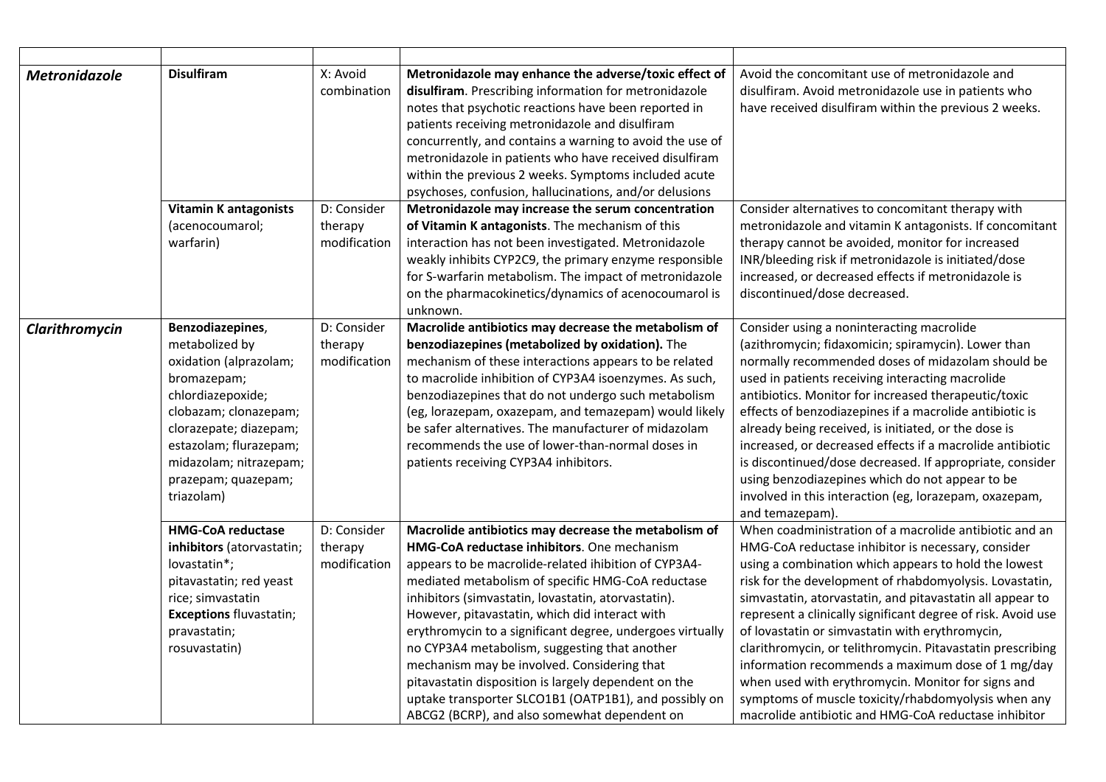| Metronidazole  | <b>Disulfiram</b>                                                                                                                                                                                                                            | X: Avoid<br>combination                | Metronidazole may enhance the adverse/toxic effect of<br>disulfiram. Prescribing information for metronidazole<br>notes that psychotic reactions have been reported in<br>patients receiving metronidazole and disulfiram<br>concurrently, and contains a warning to avoid the use of<br>metronidazole in patients who have received disulfiram<br>within the previous 2 weeks. Symptoms included acute<br>psychoses, confusion, hallucinations, and/or delusions                                                                                                                                                                                              | Avoid the concomitant use of metronidazole and<br>disulfiram. Avoid metronidazole use in patients who<br>have received disulfiram within the previous 2 weeks.                                                                                                                                                                                                                                                                                                                                                                                                                                                                                                                                          |
|----------------|----------------------------------------------------------------------------------------------------------------------------------------------------------------------------------------------------------------------------------------------|----------------------------------------|----------------------------------------------------------------------------------------------------------------------------------------------------------------------------------------------------------------------------------------------------------------------------------------------------------------------------------------------------------------------------------------------------------------------------------------------------------------------------------------------------------------------------------------------------------------------------------------------------------------------------------------------------------------|---------------------------------------------------------------------------------------------------------------------------------------------------------------------------------------------------------------------------------------------------------------------------------------------------------------------------------------------------------------------------------------------------------------------------------------------------------------------------------------------------------------------------------------------------------------------------------------------------------------------------------------------------------------------------------------------------------|
|                | <b>Vitamin K antagonists</b><br>(acenocoumarol;<br>warfarin)                                                                                                                                                                                 | D: Consider<br>therapy<br>modification | Metronidazole may increase the serum concentration<br>of Vitamin K antagonists. The mechanism of this<br>interaction has not been investigated. Metronidazole<br>weakly inhibits CYP2C9, the primary enzyme responsible<br>for S-warfarin metabolism. The impact of metronidazole<br>on the pharmacokinetics/dynamics of acenocoumarol is<br>unknown.                                                                                                                                                                                                                                                                                                          | Consider alternatives to concomitant therapy with<br>metronidazole and vitamin K antagonists. If concomitant<br>therapy cannot be avoided, monitor for increased<br>INR/bleeding risk if metronidazole is initiated/dose<br>increased, or decreased effects if metronidazole is<br>discontinued/dose decreased.                                                                                                                                                                                                                                                                                                                                                                                         |
| Clarithromycin | Benzodiazepines,<br>metabolized by<br>oxidation (alprazolam;<br>bromazepam;<br>chlordiazepoxide;<br>clobazam; clonazepam;<br>clorazepate; diazepam;<br>estazolam; flurazepam;<br>midazolam; nitrazepam;<br>prazepam; quazepam;<br>triazolam) | D: Consider<br>therapy<br>modification | Macrolide antibiotics may decrease the metabolism of<br>benzodiazepines (metabolized by oxidation). The<br>mechanism of these interactions appears to be related<br>to macrolide inhibition of CYP3A4 isoenzymes. As such,<br>benzodiazepines that do not undergo such metabolism<br>(eg, lorazepam, oxazepam, and temazepam) would likely<br>be safer alternatives. The manufacturer of midazolam<br>recommends the use of lower-than-normal doses in<br>patients receiving CYP3A4 inhibitors.                                                                                                                                                                | Consider using a noninteracting macrolide<br>(azithromycin; fidaxomicin; spiramycin). Lower than<br>normally recommended doses of midazolam should be<br>used in patients receiving interacting macrolide<br>antibiotics. Monitor for increased therapeutic/toxic<br>effects of benzodiazepines if a macrolide antibiotic is<br>already being received, is initiated, or the dose is<br>increased, or decreased effects if a macrolide antibiotic<br>is discontinued/dose decreased. If appropriate, consider<br>using benzodiazepines which do not appear to be<br>involved in this interaction (eg, lorazepam, oxazepam,<br>and temazepam).                                                           |
|                | <b>HMG-CoA reductase</b><br>inhibitors (atorvastatin;<br>lovastatin*;<br>pitavastatin; red yeast<br>rice; simvastatin<br><b>Exceptions fluvastatin;</b><br>pravastatin;<br>rosuvastatin)                                                     | D: Consider<br>therapy<br>modification | Macrolide antibiotics may decrease the metabolism of<br><b>HMG-CoA reductase inhibitors. One mechanism</b><br>appears to be macrolide-related ihibition of CYP3A4-<br>mediated metabolism of specific HMG-CoA reductase<br>inhibitors (simvastatin, lovastatin, atorvastatin).<br>However, pitavastatin, which did interact with<br>erythromycin to a significant degree, undergoes virtually<br>no CYP3A4 metabolism, suggesting that another<br>mechanism may be involved. Considering that<br>pitavastatin disposition is largely dependent on the<br>uptake transporter SLCO1B1 (OATP1B1), and possibly on<br>ABCG2 (BCRP), and also somewhat dependent on | When coadministration of a macrolide antibiotic and an<br>HMG-CoA reductase inhibitor is necessary, consider<br>using a combination which appears to hold the lowest<br>risk for the development of rhabdomyolysis. Lovastatin,<br>simvastatin, atorvastatin, and pitavastatin all appear to<br>represent a clinically significant degree of risk. Avoid use<br>of lovastatin or simvastatin with erythromycin,<br>clarithromycin, or telithromycin. Pitavastatin prescribing<br>information recommends a maximum dose of 1 mg/day<br>when used with erythromycin. Monitor for signs and<br>symptoms of muscle toxicity/rhabdomyolysis when any<br>macrolide antibiotic and HMG-CoA reductase inhibitor |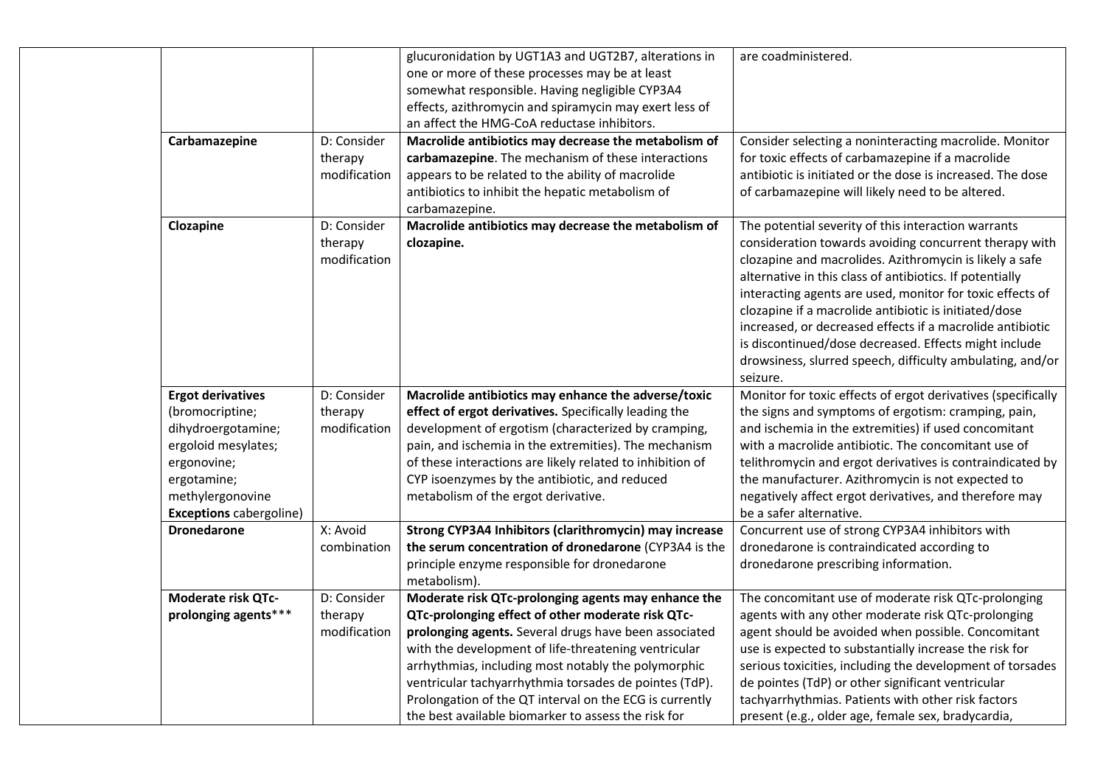|                                |              | glucuronidation by UGT1A3 and UGT2B7, alterations in      | are coadministered.                                          |
|--------------------------------|--------------|-----------------------------------------------------------|--------------------------------------------------------------|
|                                |              | one or more of these processes may be at least            |                                                              |
|                                |              | somewhat responsible. Having negligible CYP3A4            |                                                              |
|                                |              | effects, azithromycin and spiramycin may exert less of    |                                                              |
|                                |              | an affect the HMG-CoA reductase inhibitors.               |                                                              |
| Carbamazepine                  | D: Consider  | Macrolide antibiotics may decrease the metabolism of      | Consider selecting a noninteracting macrolide. Monitor       |
|                                | therapy      | carbamazepine. The mechanism of these interactions        | for toxic effects of carbamazepine if a macrolide            |
|                                | modification | appears to be related to the ability of macrolide         | antibiotic is initiated or the dose is increased. The dose   |
|                                |              | antibiotics to inhibit the hepatic metabolism of          | of carbamazepine will likely need to be altered.             |
|                                |              | carbamazepine.                                            |                                                              |
| Clozapine                      | D: Consider  | Macrolide antibiotics may decrease the metabolism of      | The potential severity of this interaction warrants          |
|                                | therapy      | clozapine.                                                | consideration towards avoiding concurrent therapy with       |
|                                | modification |                                                           | clozapine and macrolides. Azithromycin is likely a safe      |
|                                |              |                                                           | alternative in this class of antibiotics. If potentially     |
|                                |              |                                                           | interacting agents are used, monitor for toxic effects of    |
|                                |              |                                                           | clozapine if a macrolide antibiotic is initiated/dose        |
|                                |              |                                                           | increased, or decreased effects if a macrolide antibiotic    |
|                                |              |                                                           | is discontinued/dose decreased. Effects might include        |
|                                |              |                                                           | drowsiness, slurred speech, difficulty ambulating, and/or    |
|                                |              |                                                           | seizure.                                                     |
| <b>Ergot derivatives</b>       | D: Consider  | Macrolide antibiotics may enhance the adverse/toxic       | Monitor for toxic effects of ergot derivatives (specifically |
| (bromocriptine;                | therapy      | effect of ergot derivatives. Specifically leading the     | the signs and symptoms of ergotism: cramping, pain,          |
| dihydroergotamine;             | modification | development of ergotism (characterized by cramping,       | and ischemia in the extremities) if used concomitant         |
| ergoloid mesylates;            |              | pain, and ischemia in the extremities). The mechanism     | with a macrolide antibiotic. The concomitant use of          |
| ergonovine;                    |              | of these interactions are likely related to inhibition of | telithromycin and ergot derivatives is contraindicated by    |
| ergotamine;                    |              | CYP isoenzymes by the antibiotic, and reduced             | the manufacturer. Azithromycin is not expected to            |
| methylergonovine               |              | metabolism of the ergot derivative.                       | negatively affect ergot derivatives, and therefore may       |
| <b>Exceptions cabergoline)</b> |              |                                                           | be a safer alternative.                                      |
| <b>Dronedarone</b>             | X: Avoid     | Strong CYP3A4 Inhibitors (clarithromycin) may increase    | Concurrent use of strong CYP3A4 inhibitors with              |
|                                | combination  | the serum concentration of dronedarone (CYP3A4 is the     | dronedarone is contraindicated according to                  |
|                                |              | principle enzyme responsible for dronedarone              | dronedarone prescribing information.                         |
|                                |              | metabolism).                                              |                                                              |
| Moderate risk QTc-             | D: Consider  | Moderate risk QTc-prolonging agents may enhance the       | The concomitant use of moderate risk QTc-prolonging          |
| prolonging agents***           | therapy      | QTc-prolonging effect of other moderate risk QTc-         | agents with any other moderate risk QTc-prolonging           |
|                                | modification | prolonging agents. Several drugs have been associated     | agent should be avoided when possible. Concomitant           |
|                                |              | with the development of life-threatening ventricular      | use is expected to substantially increase the risk for       |
|                                |              | arrhythmias, including most notably the polymorphic       | serious toxicities, including the development of torsades    |
|                                |              | ventricular tachyarrhythmia torsades de pointes (TdP).    | de pointes (TdP) or other significant ventricular            |
|                                |              | Prolongation of the QT interval on the ECG is currently   | tachyarrhythmias. Patients with other risk factors           |
|                                |              | the best available biomarker to assess the risk for       | present (e.g., older age, female sex, bradycardia,           |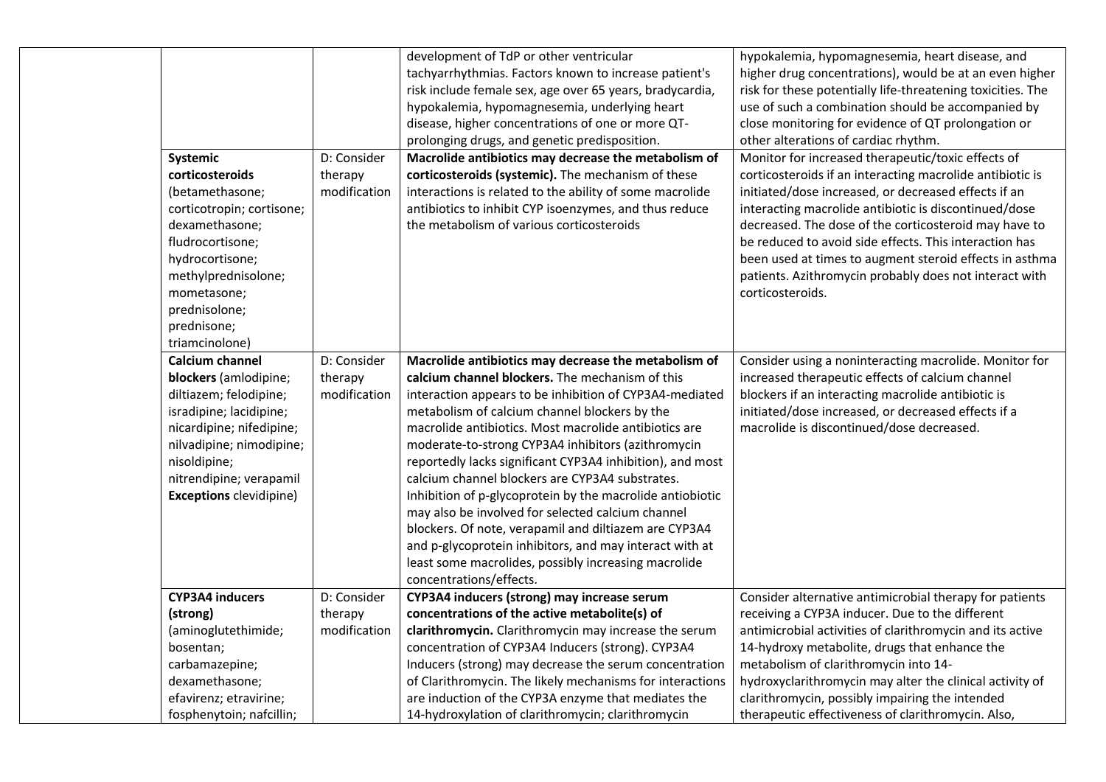| Systemic                                                                                                                                                                                                                                  | D: Consider                            | development of TdP or other ventricular<br>tachyarrhythmias. Factors known to increase patient's<br>risk include female sex, age over 65 years, bradycardia,<br>hypokalemia, hypomagnesemia, underlying heart<br>disease, higher concentrations of one or more QT-<br>prolonging drugs, and genetic predisposition.<br>Macrolide antibiotics may decrease the metabolism of                                                                                                                                                                                                                                                                                                                                                                                                 | hypokalemia, hypomagnesemia, heart disease, and<br>higher drug concentrations), would be at an even higher<br>risk for these potentially life-threatening toxicities. The<br>use of such a combination should be accompanied by<br>close monitoring for evidence of QT prolongation or<br>other alterations of cardiac rhythm.<br>Monitor for increased therapeutic/toxic effects of                                                   |
|-------------------------------------------------------------------------------------------------------------------------------------------------------------------------------------------------------------------------------------------|----------------------------------------|-----------------------------------------------------------------------------------------------------------------------------------------------------------------------------------------------------------------------------------------------------------------------------------------------------------------------------------------------------------------------------------------------------------------------------------------------------------------------------------------------------------------------------------------------------------------------------------------------------------------------------------------------------------------------------------------------------------------------------------------------------------------------------|----------------------------------------------------------------------------------------------------------------------------------------------------------------------------------------------------------------------------------------------------------------------------------------------------------------------------------------------------------------------------------------------------------------------------------------|
| corticosteroids<br>(betamethasone;<br>corticotropin; cortisone;<br>dexamethasone;<br>fludrocortisone;<br>hydrocortisone;<br>methylprednisolone;<br>mometasone;<br>prednisolone;<br>prednisone;<br>triamcinolone)                          | therapy<br>modification                | corticosteroids (systemic). The mechanism of these<br>interactions is related to the ability of some macrolide<br>antibiotics to inhibit CYP isoenzymes, and thus reduce<br>the metabolism of various corticosteroids                                                                                                                                                                                                                                                                                                                                                                                                                                                                                                                                                       | corticosteroids if an interacting macrolide antibiotic is<br>initiated/dose increased, or decreased effects if an<br>interacting macrolide antibiotic is discontinued/dose<br>decreased. The dose of the corticosteroid may have to<br>be reduced to avoid side effects. This interaction has<br>been used at times to augment steroid effects in asthma<br>patients. Azithromycin probably does not interact with<br>corticosteroids. |
| <b>Calcium channel</b><br>blockers (amlodipine;<br>diltiazem; felodipine;<br>isradipine; lacidipine;<br>nicardipine; nifedipine;<br>nilvadipine; nimodipine;<br>nisoldipine;<br>nitrendipine; verapamil<br><b>Exceptions</b> clevidipine) | D: Consider<br>therapy<br>modification | Macrolide antibiotics may decrease the metabolism of<br>calcium channel blockers. The mechanism of this<br>interaction appears to be inhibition of CYP3A4-mediated<br>metabolism of calcium channel blockers by the<br>macrolide antibiotics. Most macrolide antibiotics are<br>moderate-to-strong CYP3A4 inhibitors (azithromycin<br>reportedly lacks significant CYP3A4 inhibition), and most<br>calcium channel blockers are CYP3A4 substrates.<br>Inhibition of p-glycoprotein by the macrolide antiobiotic<br>may also be involved for selected calcium channel<br>blockers. Of note, verapamil and diltiazem are CYP3A4<br>and p-glycoprotein inhibitors, and may interact with at<br>least some macrolides, possibly increasing macrolide<br>concentrations/effects. | Consider using a noninteracting macrolide. Monitor for<br>increased therapeutic effects of calcium channel<br>blockers if an interacting macrolide antibiotic is<br>initiated/dose increased, or decreased effects if a<br>macrolide is discontinued/dose decreased.                                                                                                                                                                   |
| <b>CYP3A4 inducers</b><br>(strong)<br>(aminoglutethimide;<br>bosentan;<br>carbamazepine;<br>dexamethasone;<br>efavirenz; etravirine;<br>fosphenytoin; nafcillin;                                                                          | D: Consider<br>therapy<br>modification | CYP3A4 inducers (strong) may increase serum<br>concentrations of the active metabolite(s) of<br>clarithromycin. Clarithromycin may increase the serum<br>concentration of CYP3A4 Inducers (strong). CYP3A4<br>Inducers (strong) may decrease the serum concentration<br>of Clarithromycin. The likely mechanisms for interactions<br>are induction of the CYP3A enzyme that mediates the<br>14-hydroxylation of clarithromycin; clarithromycin                                                                                                                                                                                                                                                                                                                              | Consider alternative antimicrobial therapy for patients<br>receiving a CYP3A inducer. Due to the different<br>antimicrobial activities of clarithromycin and its active<br>14-hydroxy metabolite, drugs that enhance the<br>metabolism of clarithromycin into 14-<br>hydroxyclarithromycin may alter the clinical activity of<br>clarithromycin, possibly impairing the intended<br>therapeutic effectiveness of clarithromycin. Also, |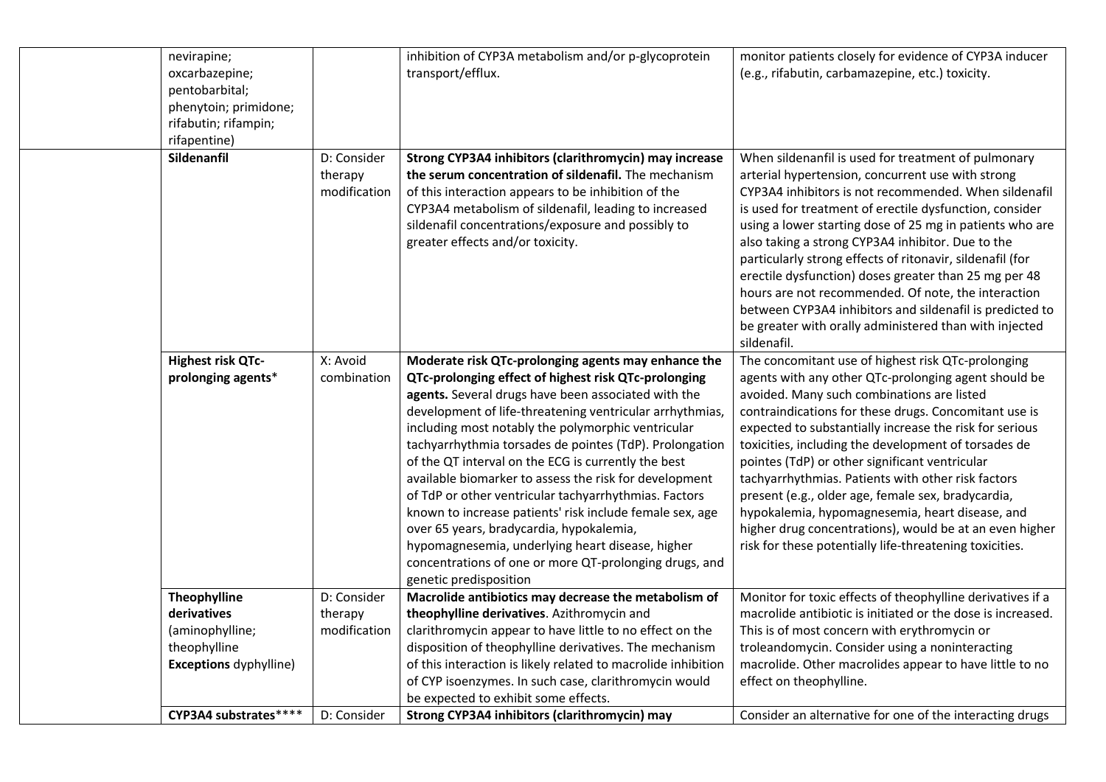| nevirapine;<br>oxcarbazepine;<br>pentobarbital;<br>phenytoin; primidone;<br>rifabutin; rifampin;<br>rifapentine) |                                        | inhibition of CYP3A metabolism and/or p-glycoprotein<br>transport/efflux.                                                                                                                                                                                                                                                                                                                                                                                                                                                                                                                                                                                                                                                                                                 | monitor patients closely for evidence of CYP3A inducer<br>(e.g., rifabutin, carbamazepine, etc.) toxicity.                                                                                                                                                                                                                                                                                                                                                                                                                                                                                                                                                                  |
|------------------------------------------------------------------------------------------------------------------|----------------------------------------|---------------------------------------------------------------------------------------------------------------------------------------------------------------------------------------------------------------------------------------------------------------------------------------------------------------------------------------------------------------------------------------------------------------------------------------------------------------------------------------------------------------------------------------------------------------------------------------------------------------------------------------------------------------------------------------------------------------------------------------------------------------------------|-----------------------------------------------------------------------------------------------------------------------------------------------------------------------------------------------------------------------------------------------------------------------------------------------------------------------------------------------------------------------------------------------------------------------------------------------------------------------------------------------------------------------------------------------------------------------------------------------------------------------------------------------------------------------------|
| Sildenanfil                                                                                                      | D: Consider<br>therapy<br>modification | Strong CYP3A4 inhibitors (clarithromycin) may increase<br>the serum concentration of sildenafil. The mechanism<br>of this interaction appears to be inhibition of the<br>CYP3A4 metabolism of sildenafil, leading to increased<br>sildenafil concentrations/exposure and possibly to<br>greater effects and/or toxicity.                                                                                                                                                                                                                                                                                                                                                                                                                                                  | When sildenanfil is used for treatment of pulmonary<br>arterial hypertension, concurrent use with strong<br>CYP3A4 inhibitors is not recommended. When sildenafil<br>is used for treatment of erectile dysfunction, consider<br>using a lower starting dose of 25 mg in patients who are<br>also taking a strong CYP3A4 inhibitor. Due to the<br>particularly strong effects of ritonavir, sildenafil (for<br>erectile dysfunction) doses greater than 25 mg per 48<br>hours are not recommended. Of note, the interaction<br>between CYP3A4 inhibitors and sildenafil is predicted to<br>be greater with orally administered than with injected<br>sildenafil.             |
| Highest risk QTc-<br>prolonging agents*                                                                          | X: Avoid<br>combination                | Moderate risk QTc-prolonging agents may enhance the<br>QTc-prolonging effect of highest risk QTc-prolonging<br>agents. Several drugs have been associated with the<br>development of life-threatening ventricular arrhythmias,<br>including most notably the polymorphic ventricular<br>tachyarrhythmia torsades de pointes (TdP). Prolongation<br>of the QT interval on the ECG is currently the best<br>available biomarker to assess the risk for development<br>of TdP or other ventricular tachyarrhythmias. Factors<br>known to increase patients' risk include female sex, age<br>over 65 years, bradycardia, hypokalemia,<br>hypomagnesemia, underlying heart disease, higher<br>concentrations of one or more QT-prolonging drugs, and<br>genetic predisposition | The concomitant use of highest risk QTc-prolonging<br>agents with any other QTc-prolonging agent should be<br>avoided. Many such combinations are listed<br>contraindications for these drugs. Concomitant use is<br>expected to substantially increase the risk for serious<br>toxicities, including the development of torsades de<br>pointes (TdP) or other significant ventricular<br>tachyarrhythmias. Patients with other risk factors<br>present (e.g., older age, female sex, bradycardia,<br>hypokalemia, hypomagnesemia, heart disease, and<br>higher drug concentrations), would be at an even higher<br>risk for these potentially life-threatening toxicities. |
| Theophylline<br>derivatives<br>(aminophylline;<br>theophylline<br><b>Exceptions dyphylline)</b>                  | D: Consider<br>therapy<br>modification | Macrolide antibiotics may decrease the metabolism of<br>theophylline derivatives. Azithromycin and<br>clarithromycin appear to have little to no effect on the<br>disposition of theophylline derivatives. The mechanism<br>of this interaction is likely related to macrolide inhibition<br>of CYP isoenzymes. In such case, clarithromycin would<br>be expected to exhibit some effects.                                                                                                                                                                                                                                                                                                                                                                                | Monitor for toxic effects of theophylline derivatives if a<br>macrolide antibiotic is initiated or the dose is increased.<br>This is of most concern with erythromycin or<br>troleandomycin. Consider using a noninteracting<br>macrolide. Other macrolides appear to have little to no<br>effect on theophylline.                                                                                                                                                                                                                                                                                                                                                          |
| CYP3A4 substrates****                                                                                            | D: Consider                            | Strong CYP3A4 inhibitors (clarithromycin) may                                                                                                                                                                                                                                                                                                                                                                                                                                                                                                                                                                                                                                                                                                                             | Consider an alternative for one of the interacting drugs                                                                                                                                                                                                                                                                                                                                                                                                                                                                                                                                                                                                                    |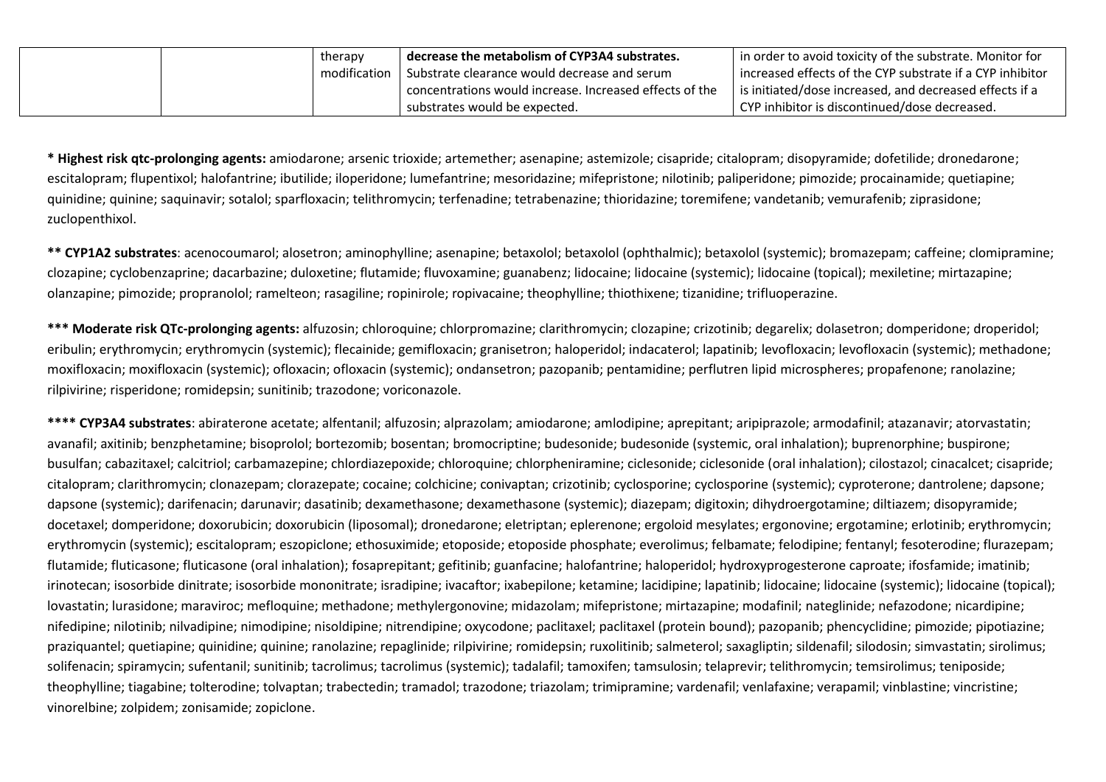|  | therapy      | decrease the metabolism of CYP3A4 substrates.             | I in order to avoid toxicity of the substrate. Monitor for  |
|--|--------------|-----------------------------------------------------------|-------------------------------------------------------------|
|  | modification | Substrate clearance would decrease and serum              | l increased effects of the CYP substrate if a CYP inhibitor |
|  |              | ' concentrations would increase. Increased effects of the | is initiated/dose increased, and decreased effects if a     |
|  |              | substrates would be expected.                             | CYP inhibitor is discontinued/dose decreased.               |

**\* Highest risk qtc-prolonging agents:** amiodarone; arsenic trioxide; artemether; asenapine; astemizole; cisapride; citalopram; disopyramide; dofetilide; dronedarone; escitalopram; flupentixol; halofantrine; ibutilide; iloperidone; lumefantrine; mesoridazine; mifepristone; nilotinib; paliperidone; pimozide; procainamide; quetiapine; quinidine; quinine; saquinavir; sotalol; sparfloxacin; telithromycin; terfenadine; tetrabenazine; thioridazine; toremifene; vandetanib; vemurafenib; ziprasidone; zuclopenthixol.

**\*\* CYP1A2 substrates**: acenocoumarol; alosetron; aminophylline; asenapine; betaxolol; betaxolol (ophthalmic); betaxolol (systemic); bromazepam; caffeine; clomipramine; clozapine; cyclobenzaprine; dacarbazine; duloxetine; flutamide; fluvoxamine; guanabenz; lidocaine; lidocaine (systemic); lidocaine (topical); mexiletine; mirtazapine; olanzapine; pimozide; propranolol; ramelteon; rasagiline; ropinirole; ropivacaine; theophylline; thiothixene; tizanidine; trifluoperazine.

**\*\*\* Moderate risk QTc-prolonging agents:** alfuzosin; chloroquine; chlorpromazine; clarithromycin; clozapine; crizotinib; degarelix; dolasetron; domperidone; droperidol; eribulin; erythromycin; erythromycin (systemic); flecainide; gemifloxacin; granisetron; haloperidol; indacaterol; lapatinib; levofloxacin; levofloxacin (systemic); methadone; moxifloxacin; moxifloxacin (systemic); ofloxacin; ofloxacin (systemic); ondansetron; pazopanib; pentamidine; perflutren lipid microspheres; propafenone; ranolazine; rilpivirine; risperidone; romidepsin; sunitinib; trazodone; voriconazole.

**\*\*\*\* CYP3A4 substrates**: abiraterone acetate; alfentanil; alfuzosin; alprazolam; amiodarone; amlodipine; aprepitant; aripiprazole; armodafinil; atazanavir; atorvastatin; avanafil; axitinib; benzphetamine; bisoprolol; bortezomib; bosentan; bromocriptine; budesonide; budesonide (systemic, oral inhalation); buprenorphine; buspirone; busulfan; cabazitaxel; calcitriol; carbamazepine; chlordiazepoxide; chloroquine; chlorpheniramine; ciclesonide; ciclesonide (oral inhalation); cilostazol; cinacalcet; cisapride; citalopram; clarithromycin; clonazepam; clorazepate; cocaine; colchicine; conivaptan; crizotinib; cyclosporine; cyclosporine (systemic); cyproterone; dantrolene; dapsone; dapsone (systemic); darifenacin; darunavir; dasatinib; dexamethasone; dexamethasone (systemic); diazepam; digitoxin; dihydroergotamine; diltiazem; disopyramide; docetaxel; domperidone; doxorubicin; doxorubicin (liposomal); dronedarone; eletriptan; eplerenone; ergoloid mesylates; ergonovine; ergotamine; erlotinib; erythromycin; erythromycin (systemic); escitalopram; eszopiclone; ethosuximide; etoposide; etoposide phosphate; everolimus; felbamate; felodipine; fentanyl; fesoterodine; flurazepam; flutamide; fluticasone; fluticasone (oral inhalation); fosaprepitant; gefitinib; guanfacine; halofantrine; haloperidol; hydroxyprogesterone caproate; ifosfamide; imatinib; irinotecan; isosorbide dinitrate; isosorbide mononitrate; isradipine; ivacaftor; ixabepilone; ketamine; lacidipine; lapatinib; lidocaine; lidocaine (systemic); lidocaine (topical); lovastatin; lurasidone; maraviroc; mefloquine; methadone; methylergonovine; midazolam; mifepristone; mirtazapine; modafinil; nateglinide; nefazodone; nicardipine; nifedipine; nilotinib; nilvadipine; nimodipine; nisoldipine; nitrendipine; oxycodone; paclitaxel; paclitaxel (protein bound); pazopanib; phencyclidine; pimozide; pipotiazine; praziquantel; quetiapine; quinidine; quinine; ranolazine; repaglinide; rilpivirine; romidepsin; ruxolitinib; salmeterol; saxagliptin; sildenafil; silodosin; simvastatin; sirolimus; solifenacin; spiramycin; sufentanil; sunitinib; tacrolimus; tacrolimus (systemic); tadalafil; tamoxifen; tamsulosin; telaprevir; telithromycin; temsirolimus; teniposide; theophylline; tiagabine; tolterodine; tolvaptan; trabectedin; tramadol; trazodone; triazolam; trimipramine; vardenafil; venlafaxine; verapamil; vinblastine; vincristine; vinorelbine; zolpidem; zonisamide; zopiclone.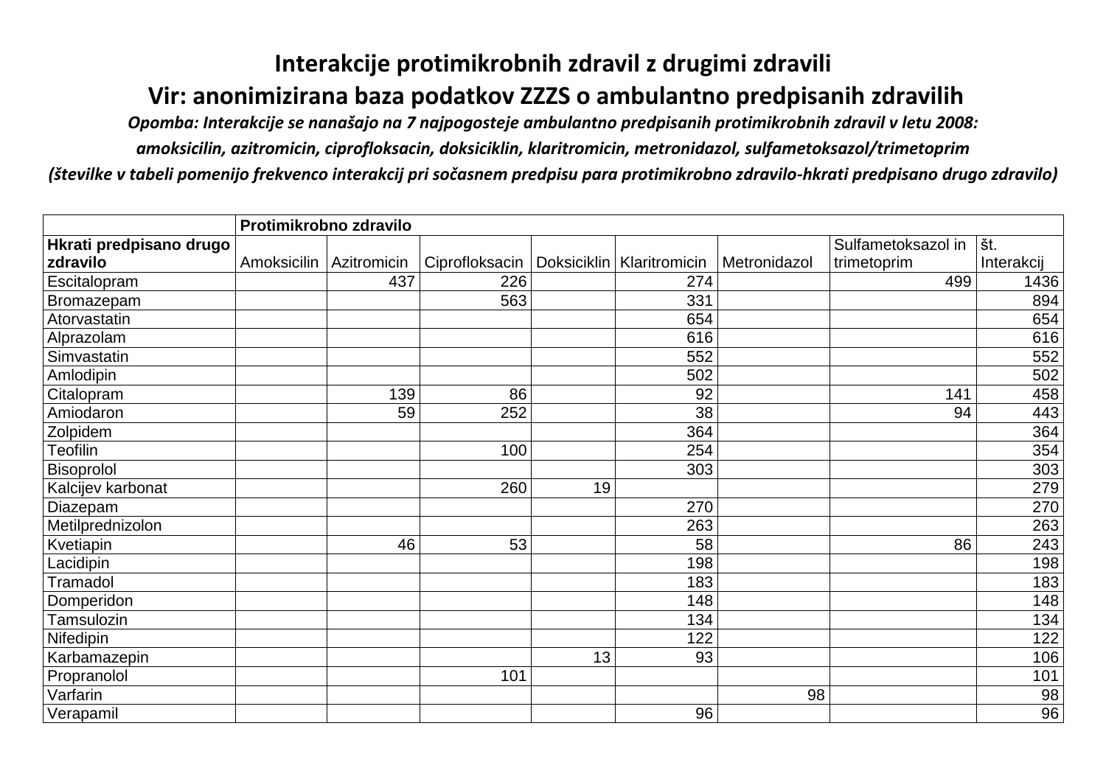## **Interakcije protimikrobnih zdravil z drugimi zdravili Vir: anonimizirana baza podatkov ZZZS o ambulantno predpisanih zdravilih**

*Opomba: Interakcije se nanašajo na 7 najpogosteje ambulantno predpisanih protimikrobnih zdravil v letu 2008:* 

*amoksicilin, azitromicin, ciprofloksacin, doksiciklin, klaritromicin, metronidazol, sulfametoksazol/trimetoprim*

*(številke v tabeli pomenijo frekvenco interakcij pri sočasnem predpisu para protimikrobno zdravilo-hkrati predpisano drugo zdravilo)*

|                         |             | Protimikrobno zdravilo |                |    |                             |              |                    |            |
|-------------------------|-------------|------------------------|----------------|----|-----------------------------|--------------|--------------------|------------|
| Hkrati predpisano drugo |             |                        |                |    |                             |              | Sulfametoksazol in | št.        |
| zdravilo                | Amoksicilin | Azitromicin            | Ciprofloksacin |    | Doksiciklin   Klaritromicin | Metronidazol | trimetoprim        | Interakcij |
| <b>Escitalopram</b>     |             | 437                    | 226            |    | 274                         |              | 499                | 1436       |
| Bromazepam              |             |                        | 563            |    | 331                         |              |                    | 894        |
| Atorvastatin            |             |                        |                |    | 654                         |              |                    | 654        |
| Alprazolam              |             |                        |                |    | 616                         |              |                    | 616        |
| Simvastatin             |             |                        |                |    | 552                         |              |                    | 552        |
| Amlodipin               |             |                        |                |    | 502                         |              |                    | 502        |
| Citalopram              |             | 139                    | 86             |    | 92                          |              | 141                | 458        |
| Amiodaron               |             | 59                     | 252            |    | 38                          |              | 94                 | 443        |
| Zolpidem                |             |                        |                |    | 364                         |              |                    | 364        |
| <b>Teofilin</b>         |             |                        | 100            |    | 254                         |              |                    | 354        |
| Bisoprolol              |             |                        |                |    | 303                         |              |                    | 303        |
| Kalcijev karbonat       |             |                        | 260            | 19 |                             |              |                    | 279        |
| Diazepam                |             |                        |                |    | 270                         |              |                    | 270        |
| Metilprednizolon        |             |                        |                |    | 263                         |              |                    | 263        |
| Kvetiapin               |             | 46                     | 53             |    | 58                          |              | 86                 | 243        |
| Lacidipin               |             |                        |                |    | 198                         |              |                    | 198        |
| Tramadol                |             |                        |                |    | 183                         |              |                    | 183        |
| Domperidon              |             |                        |                |    | 148                         |              |                    | 148        |
| <b>Tamsulozin</b>       |             |                        |                |    | 134                         |              |                    | 134        |
| Nifedipin               |             |                        |                |    | 122                         |              |                    | 122        |
| Karbamazepin            |             |                        |                | 13 | 93                          |              |                    | 106        |
| Propranolol             |             |                        | 101            |    |                             |              |                    | 101        |
| Varfarin                |             |                        |                |    |                             | 98           |                    | 98         |
| Verapamil               |             |                        |                |    | 96                          |              |                    | 96         |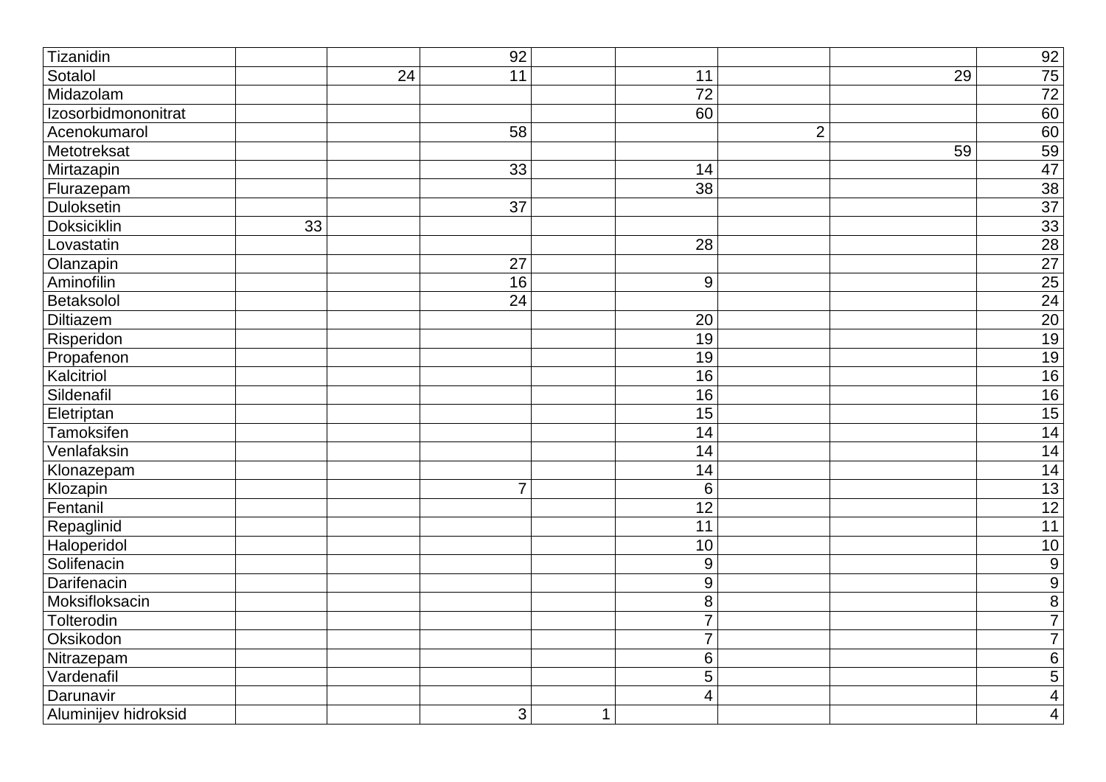| Tizanidin            |    |                 | 92              |              |                  |                |    | 92                                                                                                                     |
|----------------------|----|-----------------|-----------------|--------------|------------------|----------------|----|------------------------------------------------------------------------------------------------------------------------|
| Sotalol              |    | $\overline{24}$ | 11              |              | 11               |                | 29 |                                                                                                                        |
| Midazolam            |    |                 |                 |              | $\overline{72}$  |                |    | $\begin{array}{r} \n 75 \\  \hline\n 72 \\  \hline\n 60 \\  \hline\n 60 \\  \hline\n 59 \\  \hline\n 47\n \end{array}$ |
| Izosorbidmononitrat  |    |                 |                 |              | 60               |                |    |                                                                                                                        |
| Acenokumarol         |    |                 | 58              |              |                  | $\overline{2}$ |    |                                                                                                                        |
| Metotreksat          |    |                 |                 |              |                  |                | 59 |                                                                                                                        |
| Mirtazapin           |    |                 | 33              |              | 14               |                |    |                                                                                                                        |
| Flurazepam           |    |                 |                 |              | 38               |                |    | 38                                                                                                                     |
| <b>Duloksetin</b>    |    |                 | $\overline{37}$ |              |                  |                |    |                                                                                                                        |
| <b>Doksiciklin</b>   | 33 |                 |                 |              |                  |                |    |                                                                                                                        |
| Lovastatin           |    |                 |                 |              | $\overline{28}$  |                |    |                                                                                                                        |
| Olanzapin            |    |                 | 27              |              |                  |                |    | $\frac{37}{28}$ $\frac{28}{27}$ $\frac{25}{24}$ $\frac{20}{19}$ $\frac{19}{16}$ $\frac{16}{15}$ $\frac{16}{14}$        |
| Aminofilin           |    |                 | 16              |              | 9                |                |    |                                                                                                                        |
| Betaksolol           |    |                 | $\overline{24}$ |              |                  |                |    |                                                                                                                        |
| <b>Diltiazem</b>     |    |                 |                 |              | 20               |                |    |                                                                                                                        |
| Risperidon           |    |                 |                 |              | 19               |                |    |                                                                                                                        |
| Propafenon           |    |                 |                 |              | 19               |                |    |                                                                                                                        |
| Kalcitriol           |    |                 |                 |              | 16               |                |    |                                                                                                                        |
| Sildenafil           |    |                 |                 |              | 16               |                |    |                                                                                                                        |
| Eletriptan           |    |                 |                 |              | $\overline{15}$  |                |    |                                                                                                                        |
| Tamoksifen           |    |                 |                 |              | 14               |                |    |                                                                                                                        |
| Venlafaksin          |    |                 |                 |              | 14               |                |    | 14                                                                                                                     |
| Klonazepam           |    |                 |                 |              | 14               |                |    | $\overline{14}$                                                                                                        |
| Klozapin             |    |                 | $\overline{7}$  |              | 6                |                |    | $\overline{13}$                                                                                                        |
| Fentanil             |    |                 |                 |              | 12               |                |    | $\overline{12}$                                                                                                        |
| Repaglinid           |    |                 |                 |              | $\overline{11}$  |                |    | 11                                                                                                                     |
| Haloperidol          |    |                 |                 |              | 10               |                |    | 10                                                                                                                     |
| Solifenacin          |    |                 |                 |              | $\boldsymbol{9}$ |                |    | $\frac{9}{9}$                                                                                                          |
| Darifenacin          |    |                 |                 |              | 9                |                |    |                                                                                                                        |
| Moksifloksacin       |    |                 |                 |              | 8                |                |    | $\overline{8}$                                                                                                         |
| Tolterodin           |    |                 |                 |              | $\overline{7}$   |                |    | $\overline{7}$                                                                                                         |
| Oksikodon            |    |                 |                 |              | $\overline{7}$   |                |    | $\overline{7}$                                                                                                         |
| Nitrazepam           |    |                 |                 |              | 6                |                |    | $\overline{6}$                                                                                                         |
| Vardenafil           |    |                 |                 |              | 5                |                |    | $\overline{5}$                                                                                                         |
| Darunavir            |    |                 |                 |              | $\overline{4}$   |                |    | $\overline{4}$                                                                                                         |
| Aluminijev hidroksid |    |                 | 3               | $\mathbf{1}$ |                  |                |    | $\overline{4}$                                                                                                         |